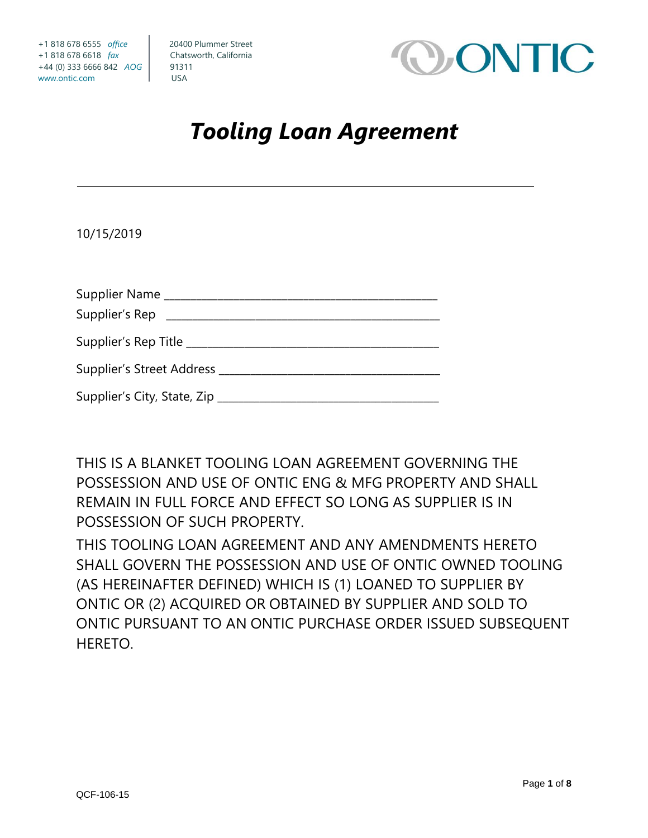

# *Tooling Loan Agreement*

10/15/2019

| Supplier Name _________________________                  |  |
|----------------------------------------------------------|--|
| Supplier's Rep _____________________________             |  |
| Supplier's Rep Title ___________________________________ |  |
|                                                          |  |
| Supplier's City, State, Zip ___________                  |  |

THIS IS A BLANKET TOOLING LOAN AGREEMENT GOVERNING THE POSSESSION AND USE OF ONTIC ENG & MFG PROPERTY AND SHALL REMAIN IN FULL FORCE AND EFFECT SO LONG AS SUPPLIER IS IN POSSESSION OF SUCH PROPERTY.

THIS TOOLING LOAN AGREEMENT AND ANY AMENDMENTS HERETO SHALL GOVERN THE POSSESSION AND USE OF ONTIC OWNED TOOLING (AS HEREINAFTER DEFINED) WHICH IS (1) LOANED TO SUPPLIER BY ONTIC OR (2) ACQUIRED OR OBTAINED BY SUPPLIER AND SOLD TO ONTIC PURSUANT TO AN ONTIC PURCHASE ORDER ISSUED SUBSEQUENT HERETO.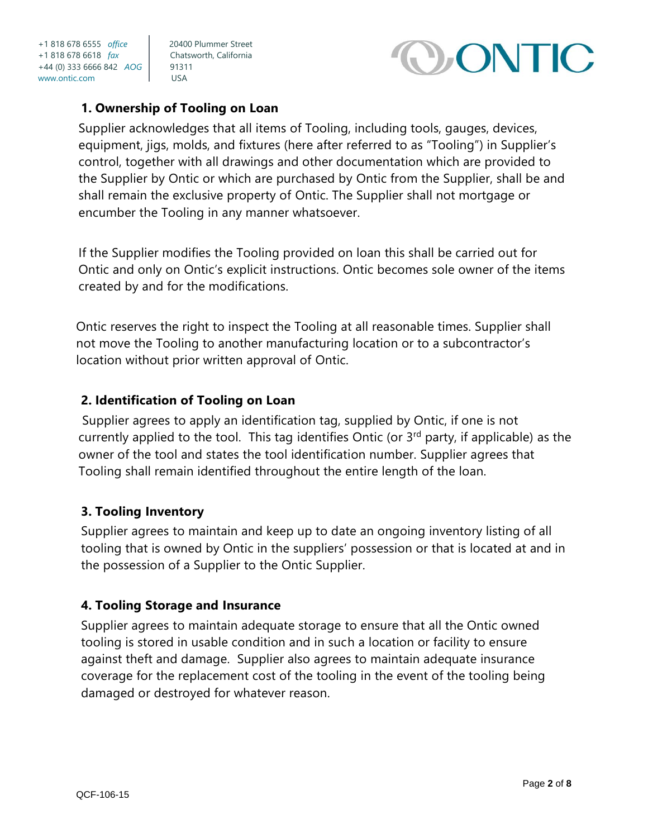

## **1. Ownership of Tooling on Loan**

Supplier acknowledges that all items of Tooling, including tools, gauges, devices, equipment, jigs, molds, and fixtures (here after referred to as "Tooling") in Supplier's control, together with all drawings and other documentation which are provided to the Supplier by Ontic or which are purchased by Ontic from the Supplier, shall be and shall remain the exclusive property of Ontic. The Supplier shall not mortgage or encumber the Tooling in any manner whatsoever.

If the Supplier modifies the Tooling provided on loan this shall be carried out for Ontic and only on Ontic's explicit instructions. Ontic becomes sole owner of the items created by and for the modifications.

Ontic reserves the right to inspect the Tooling at all reasonable times. Supplier shall not move the Tooling to another manufacturing location or to a subcontractor's location without prior written approval of Ontic.

### **2. Identification of Tooling on Loan**

Supplier agrees to apply an identification tag, supplied by Ontic, if one is not currently applied to the tool. This tag identifies Ontic (or  $3<sup>rd</sup>$  party, if applicable) as the owner of the tool and states the tool identification number. Supplier agrees that Tooling shall remain identified throughout the entire length of the loan.

### **3. Tooling Inventory**

Supplier agrees to maintain and keep up to date an ongoing inventory listing of all tooling that is owned by Ontic in the suppliers' possession or that is located at and in the possession of a Supplier to the Ontic Supplier.

### **4. Tooling Storage and Insurance**

Supplier agrees to maintain adequate storage to ensure that all the Ontic owned tooling is stored in usable condition and in such a location or facility to ensure against theft and damage. Supplier also agrees to maintain adequate insurance coverage for the replacement cost of the tooling in the event of the tooling being damaged or destroyed for whatever reason.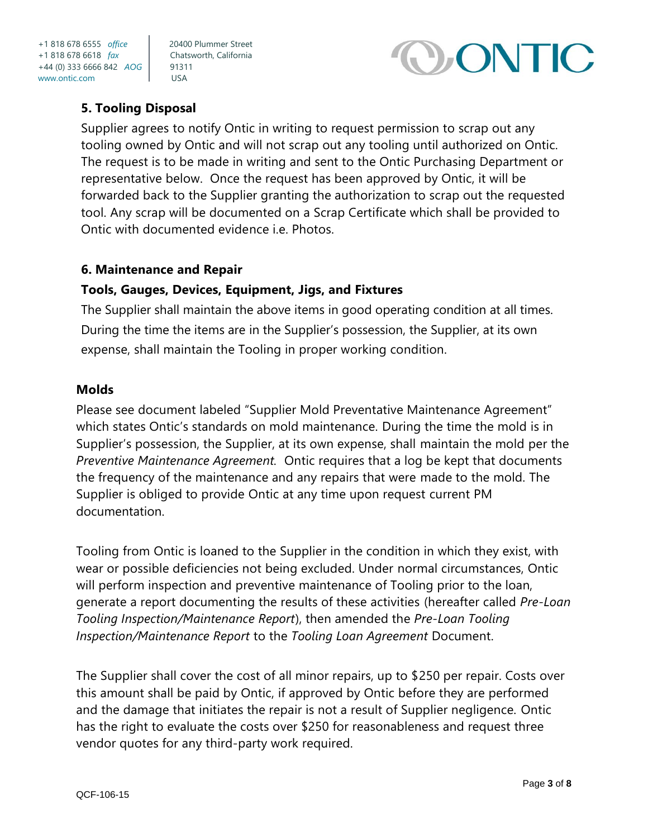

# **5. Tooling Disposal**

Supplier agrees to notify Ontic in writing to request permission to scrap out any tooling owned by Ontic and will not scrap out any tooling until authorized on Ontic. The request is to be made in writing and sent to the Ontic Purchasing Department or representative below. Once the request has been approved by Ontic, it will be forwarded back to the Supplier granting the authorization to scrap out the requested tool. Any scrap will be documented on a Scrap Certificate which shall be provided to Ontic with documented evidence i.e. Photos.

#### **6. Maintenance and Repair**

#### **Tools, Gauges, Devices, Equipment, Jigs, and Fixtures**

The Supplier shall maintain the above items in good operating condition at all times. During the time the items are in the Supplier's possession, the Supplier, at its own expense, shall maintain the Tooling in proper working condition.

#### **Molds**

Please see document labeled "Supplier Mold Preventative Maintenance Agreement" which states Ontic's standards on mold maintenance. During the time the mold is in Supplier's possession, the Supplier, at its own expense, shall maintain the mold per the *Preventive Maintenance Agreement.* Ontic requires that a log be kept that documents the frequency of the maintenance and any repairs that were made to the mold. The Supplier is obliged to provide Ontic at any time upon request current PM documentation.

Tooling from Ontic is loaned to the Supplier in the condition in which they exist, with wear or possible deficiencies not being excluded. Under normal circumstances, Ontic will perform inspection and preventive maintenance of Tooling prior to the loan, generate a report documenting the results of these activities (hereafter called *Pre-Loan Tooling Inspection/Maintenance Report*), then amended the *Pre-Loan Tooling Inspection/Maintenance Report* to the *Tooling Loan Agreement* Document.

The Supplier shall cover the cost of all minor repairs, up to \$250 per repair. Costs over this amount shall be paid by Ontic, if approved by Ontic before they are performed and the damage that initiates the repair is not a result of Supplier negligence. Ontic has the right to evaluate the costs over \$250 for reasonableness and request three vendor quotes for any third-party work required.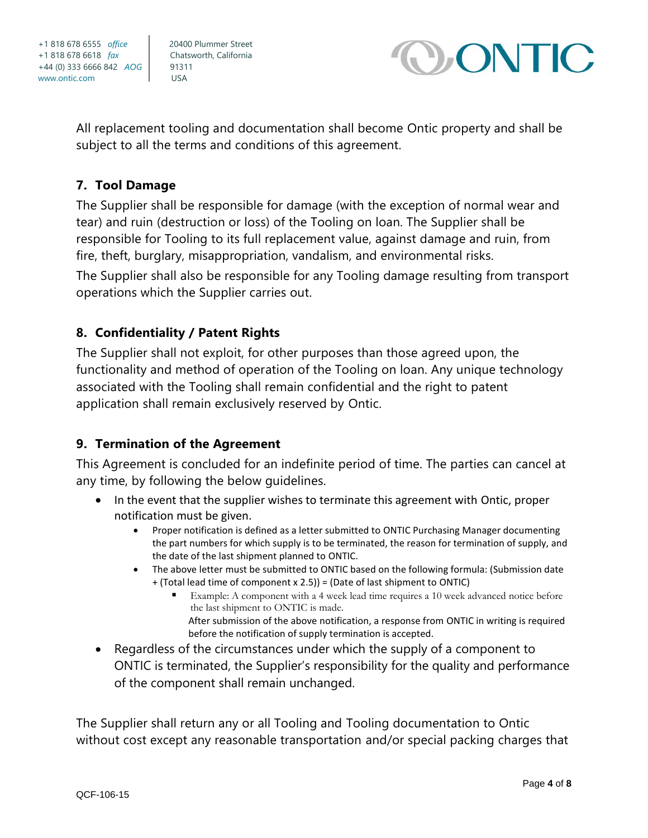



All replacement tooling and documentation shall become Ontic property and shall be subject to all the terms and conditions of this agreement.

## **7. Tool Damage**

The Supplier shall be responsible for damage (with the exception of normal wear and tear) and ruin (destruction or loss) of the Tooling on loan. The Supplier shall be responsible for Tooling to its full replacement value, against damage and ruin, from fire, theft, burglary, misappropriation, vandalism, and environmental risks.

The Supplier shall also be responsible for any Tooling damage resulting from transport operations which the Supplier carries out.

### **8. Confidentiality / Patent Rights**

The Supplier shall not exploit, for other purposes than those agreed upon, the functionality and method of operation of the Tooling on loan. Any unique technology associated with the Tooling shall remain confidential and the right to patent application shall remain exclusively reserved by Ontic.

# **9. Termination of the Agreement**

This Agreement is concluded for an indefinite period of time. The parties can cancel at any time, by following the below guidelines.

- In the event that the supplier wishes to terminate this agreement with Ontic, proper notification must be given.
	- Proper notification is defined as a letter submitted to ONTIC Purchasing Manager documenting the part numbers for which supply is to be terminated, the reason for termination of supply, and the date of the last shipment planned to ONTIC.
	- The above letter must be submitted to ONTIC based on the following formula: (Submission date + (Total lead time of component x 2.5)) = (Date of last shipment to ONTIC)
		- Example: A component with a 4 week lead time requires a 10 week advanced notice before the last shipment to ONTIC is made. After submission of the above notification, a response from ONTIC in writing is required before the notification of supply termination is accepted.
- Regardless of the circumstances under which the supply of a component to ONTIC is terminated, the Supplier's responsibility for the quality and performance of the component shall remain unchanged.

The Supplier shall return any or all Tooling and Tooling documentation to Ontic without cost except any reasonable transportation and/or special packing charges that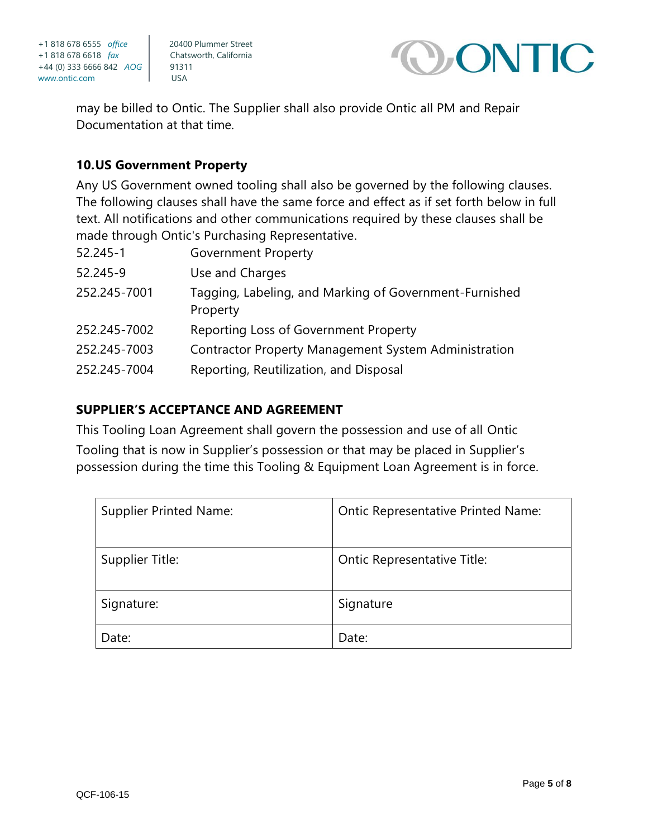



may be billed to Ontic. The Supplier shall also provide Ontic all PM and Repair Documentation at that time.

### **10.US Government Property**

Any US Government owned tooling shall also be governed by the following clauses. The following clauses shall have the same force and effect as if set forth below in full text. All notifications and other communications required by these clauses shall be made through Ontic's Purchasing Representative.

| 52.245-1     | <b>Government Property</b>                                         |
|--------------|--------------------------------------------------------------------|
| 52.245-9     | Use and Charges                                                    |
| 252.245-7001 | Tagging, Labeling, and Marking of Government-Furnished<br>Property |
| 252.245-7002 | Reporting Loss of Government Property                              |
| 252,245-7003 | <b>Contractor Property Management System Administration</b>        |
| 252.245-7004 | Reporting, Reutilization, and Disposal                             |

### **SUPPLIER'S ACCEPTANCE AND AGREEMENT**

This Tooling Loan Agreement shall govern the possession and use of all Ontic

Tooling that is now in Supplier's possession or that may be placed in Supplier's possession during the time this Tooling & Equipment Loan Agreement is in force.

| <b>Supplier Printed Name:</b> | <b>Ontic Representative Printed Name:</b> |
|-------------------------------|-------------------------------------------|
| Supplier Title:               | Ontic Representative Title:               |
| Signature:                    | Signature                                 |
| Date:                         | Date:                                     |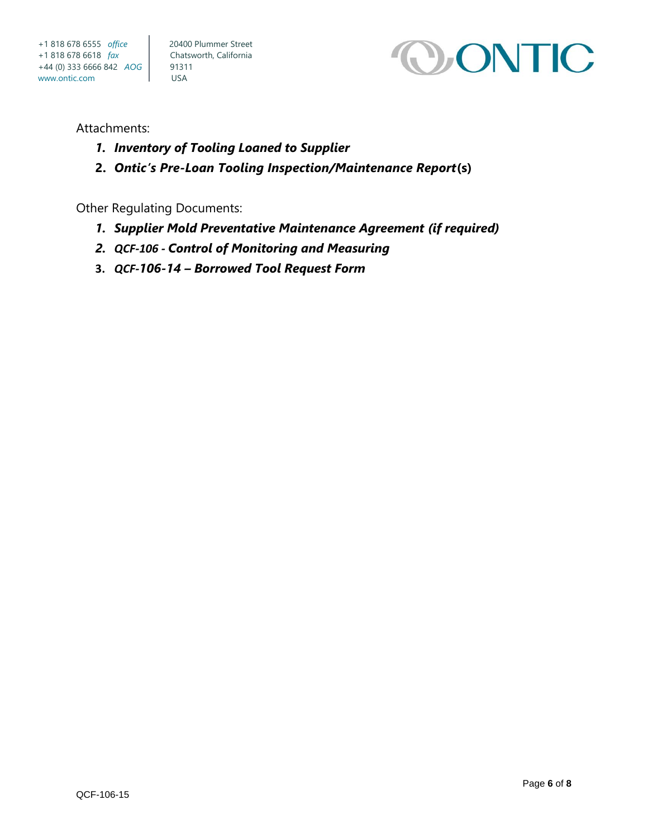

#### Attachments:

- *1. Inventory of Tooling Loaned to Supplier*
- **2.** *Ontic's Pre-Loan Tooling Inspection/Maintenance Report***(s)**

Other Regulating Documents:

- *1. Supplier Mold Preventative Maintenance Agreement (if required)*
- *2. QCF-106 - Control of Monitoring and Measuring*
- **3.** *QCF-106-14 – Borrowed Tool Request Form*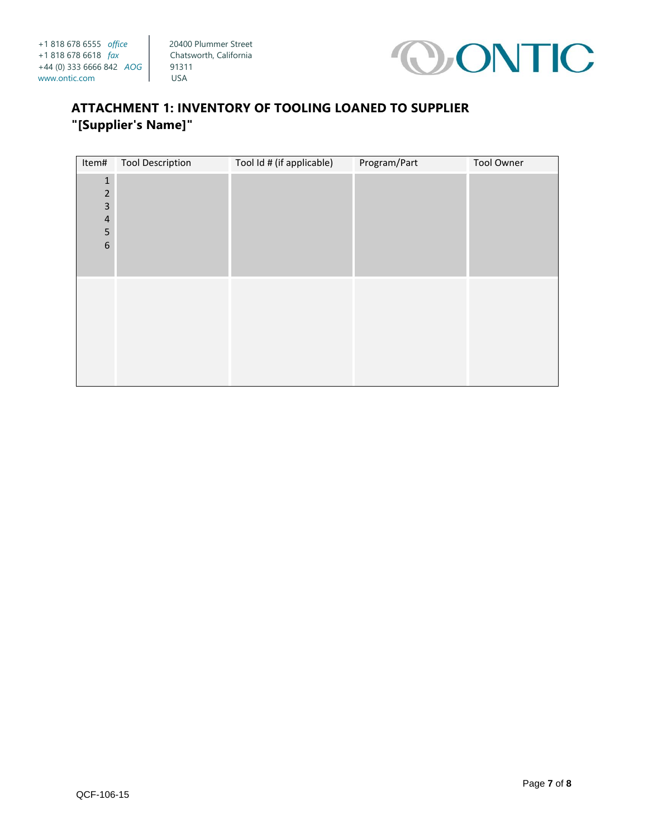

# **ATTACHMENT 1: INVENTORY OF TOOLING LOANED TO SUPPLIER "[Supplier's Name]"**

| Item#          | <b>Tool Description</b> | Tool Id # (if applicable) | Program/Part | <b>Tool Owner</b> |
|----------------|-------------------------|---------------------------|--------------|-------------------|
| $\mathbf 1$    |                         |                           |              |                   |
| $\overline{2}$ |                         |                           |              |                   |
| $\mathsf 3$    |                         |                           |              |                   |
| $\overline{4}$ |                         |                           |              |                   |
| 5              |                         |                           |              |                   |
| $6\,$          |                         |                           |              |                   |
|                |                         |                           |              |                   |
|                |                         |                           |              |                   |
|                |                         |                           |              |                   |
|                |                         |                           |              |                   |
|                |                         |                           |              |                   |
|                |                         |                           |              |                   |
|                |                         |                           |              |                   |
|                |                         |                           |              |                   |
|                |                         |                           |              |                   |